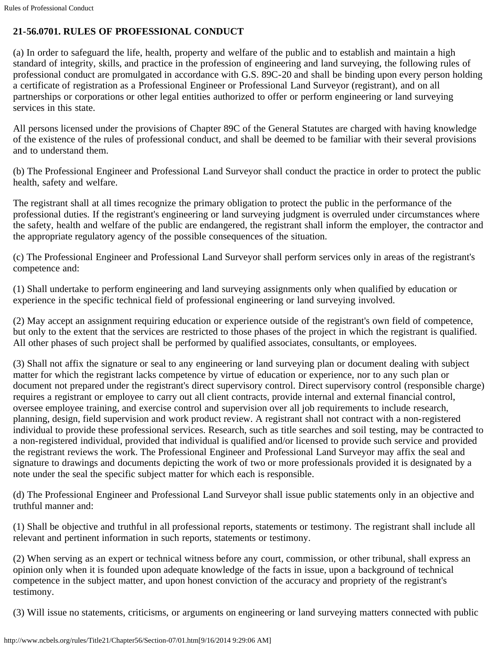## **21-56.0701. RULES OF PROFESSIONAL CONDUCT**

(a) In order to safeguard the life, health, property and welfare of the public and to establish and maintain a high standard of integrity, skills, and practice in the profession of engineering and land surveying, the following rules of professional conduct are promulgated in accordance with G.S. 89C-20 and shall be binding upon every person holding a certificate of registration as a Professional Engineer or Professional Land Surveyor (registrant), and on all partnerships or corporations or other legal entities authorized to offer or perform engineering or land surveying services in this state.

All persons licensed under the provisions of Chapter 89C of the General Statutes are charged with having knowledge of the existence of the rules of professional conduct, and shall be deemed to be familiar with their several provisions and to understand them.

(b) The Professional Engineer and Professional Land Surveyor shall conduct the practice in order to protect the public health, safety and welfare.

The registrant shall at all times recognize the primary obligation to protect the public in the performance of the professional duties. If the registrant's engineering or land surveying judgment is overruled under circumstances where the safety, health and welfare of the public are endangered, the registrant shall inform the employer, the contractor and the appropriate regulatory agency of the possible consequences of the situation.

(c) The Professional Engineer and Professional Land Surveyor shall perform services only in areas of the registrant's competence and:

(1) Shall undertake to perform engineering and land surveying assignments only when qualified by education or experience in the specific technical field of professional engineering or land surveying involved.

(2) May accept an assignment requiring education or experience outside of the registrant's own field of competence, but only to the extent that the services are restricted to those phases of the project in which the registrant is qualified. All other phases of such project shall be performed by qualified associates, consultants, or employees.

(3) Shall not affix the signature or seal to any engineering or land surveying plan or document dealing with subject matter for which the registrant lacks competence by virtue of education or experience, nor to any such plan or document not prepared under the registrant's direct supervisory control. Direct supervisory control (responsible charge) requires a registrant or employee to carry out all client contracts, provide internal and external financial control, oversee employee training, and exercise control and supervision over all job requirements to include research, planning, design, field supervision and work product review. A registrant shall not contract with a non-registered individual to provide these professional services. Research, such as title searches and soil testing, may be contracted to a non-registered individual, provided that individual is qualified and/or licensed to provide such service and provided the registrant reviews the work. The Professional Engineer and Professional Land Surveyor may affix the seal and signature to drawings and documents depicting the work of two or more professionals provided it is designated by a note under the seal the specific subject matter for which each is responsible.

(d) The Professional Engineer and Professional Land Surveyor shall issue public statements only in an objective and truthful manner and:

(1) Shall be objective and truthful in all professional reports, statements or testimony. The registrant shall include all relevant and pertinent information in such reports, statements or testimony.

(2) When serving as an expert or technical witness before any court, commission, or other tribunal, shall express an opinion only when it is founded upon adequate knowledge of the facts in issue, upon a background of technical competence in the subject matter, and upon honest conviction of the accuracy and propriety of the registrant's testimony.

(3) Will issue no statements, criticisms, or arguments on engineering or land surveying matters connected with public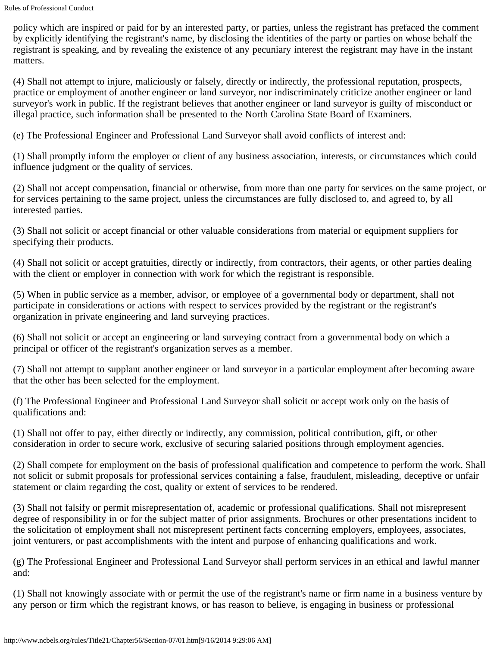policy which are inspired or paid for by an interested party, or parties, unless the registrant has prefaced the comment by explicitly identifying the registrant's name, by disclosing the identities of the party or parties on whose behalf the registrant is speaking, and by revealing the existence of any pecuniary interest the registrant may have in the instant matters.

(4) Shall not attempt to injure, maliciously or falsely, directly or indirectly, the professional reputation, prospects, practice or employment of another engineer or land surveyor, nor indiscriminately criticize another engineer or land surveyor's work in public. If the registrant believes that another engineer or land surveyor is guilty of misconduct or illegal practice, such information shall be presented to the North Carolina State Board of Examiners.

(e) The Professional Engineer and Professional Land Surveyor shall avoid conflicts of interest and:

(1) Shall promptly inform the employer or client of any business association, interests, or circumstances which could influence judgment or the quality of services.

(2) Shall not accept compensation, financial or otherwise, from more than one party for services on the same project, or for services pertaining to the same project, unless the circumstances are fully disclosed to, and agreed to, by all interested parties.

(3) Shall not solicit or accept financial or other valuable considerations from material or equipment suppliers for specifying their products.

(4) Shall not solicit or accept gratuities, directly or indirectly, from contractors, their agents, or other parties dealing with the client or employer in connection with work for which the registrant is responsible.

(5) When in public service as a member, advisor, or employee of a governmental body or department, shall not participate in considerations or actions with respect to services provided by the registrant or the registrant's organization in private engineering and land surveying practices.

(6) Shall not solicit or accept an engineering or land surveying contract from a governmental body on which a principal or officer of the registrant's organization serves as a member.

(7) Shall not attempt to supplant another engineer or land surveyor in a particular employment after becoming aware that the other has been selected for the employment.

(f) The Professional Engineer and Professional Land Surveyor shall solicit or accept work only on the basis of qualifications and:

(1) Shall not offer to pay, either directly or indirectly, any commission, political contribution, gift, or other consideration in order to secure work, exclusive of securing salaried positions through employment agencies.

(2) Shall compete for employment on the basis of professional qualification and competence to perform the work. Shall not solicit or submit proposals for professional services containing a false, fraudulent, misleading, deceptive or unfair statement or claim regarding the cost, quality or extent of services to be rendered.

(3) Shall not falsify or permit misrepresentation of, academic or professional qualifications. Shall not misrepresent degree of responsibility in or for the subject matter of prior assignments. Brochures or other presentations incident to the solicitation of employment shall not misrepresent pertinent facts concerning employers, employees, associates, joint venturers, or past accomplishments with the intent and purpose of enhancing qualifications and work.

(g) The Professional Engineer and Professional Land Surveyor shall perform services in an ethical and lawful manner and:

(1) Shall not knowingly associate with or permit the use of the registrant's name or firm name in a business venture by any person or firm which the registrant knows, or has reason to believe, is engaging in business or professional